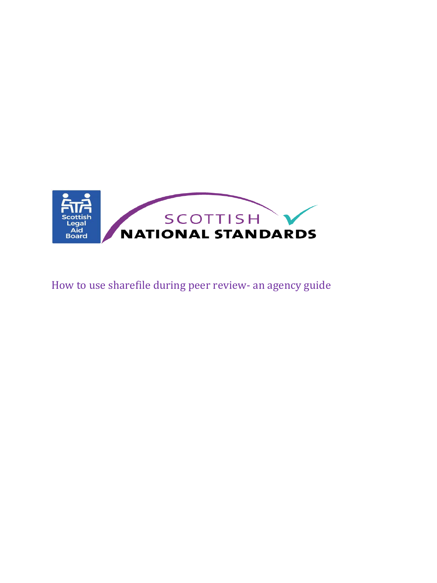

# How to use sharefile during peer review- an agency guide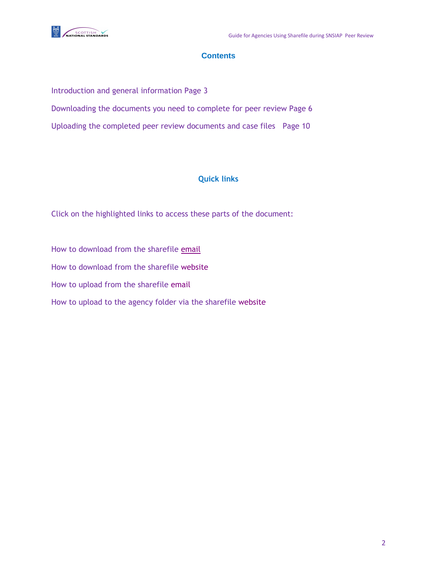

# **Contents**

Introduction and general information Page 3 Downloading the documents you need to complete for peer review Page 6 Uploading the completed peer review documents and case files Page 10

# **Quick links**

Click on the highlighted links to access these parts of the document:

How to download from the sharefile [email](#page-5-0) How to download from the sharefile [website](#page-7-0) How to upload from the sharefile [email](#page-9-0)  How to upload to the agency folder via the sharefile [website](#page-11-0)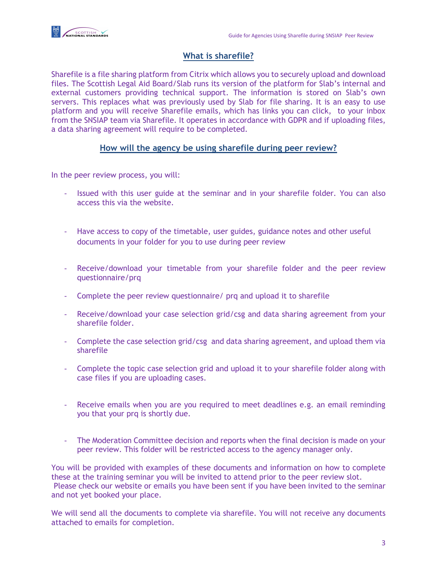

# **What is sharefile?**

Sharefile is a file sharing platform from Citrix which allows you to securely upload and download files. The Scottish Legal Aid Board/Slab runs its version of the platform for Slab's internal and external customers providing technical support. The information is stored on Slab's own servers. This replaces what was previously used by Slab for file sharing. It is an easy to use platform and you will receive Sharefile emails, which has links you can click, to your inbox from the SNSIAP team via Sharefile. It operates in accordance with GDPR and if uploading files, a data sharing agreement will require to be completed.

## **How will the agency be using sharefile during peer review?**

In the peer review process, you will:

- Issued with this user guide at the seminar and in your sharefile folder. You can also access this via the website.
- Have access to copy of the timetable, user guides, guidance notes and other useful documents in your folder for you to use during peer review
- Receive/download your timetable from your sharefile folder and the peer review questionnaire/prq
- Complete the peer review questionnaire/ prq and upload it to sharefile
- Receive/download your case selection grid/csg and data sharing agreement from your sharefile folder.
- Complete the case selection grid/csg and data sharing agreement, and upload them via sharefile
- Complete the topic case selection grid and upload it to your sharefile folder along with case files if you are uploading cases.
- Receive emails when you are you required to meet deadlines e.g. an email reminding you that your prq is shortly due.
- The Moderation Committee decision and reports when the final decision is made on your peer review. This folder will be restricted access to the agency manager only.

You will be provided with examples of these documents and information on how to complete these at the training seminar you will be invited to attend prior to the peer review slot. Please check our website or emails you have been sent if you have been invited to the seminar and not yet booked your place.

We will send all the documents to complete via sharefile. You will not receive any documents attached to emails for completion.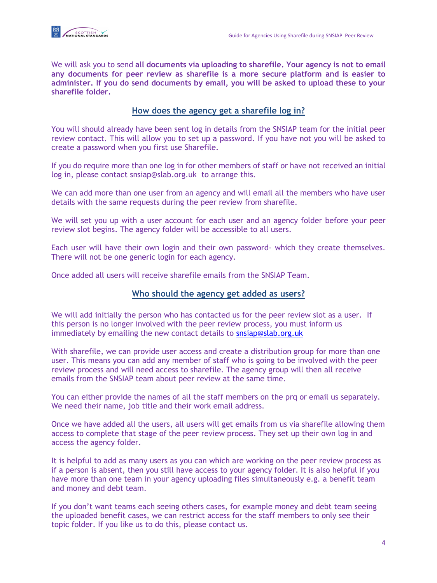

We will ask you to send **all documents via uploading to sharefile. Your agency is not to email any documents for peer review as sharefile is a more secure platform and is easier to administer. If you do send documents by email, you will be asked to upload these to your sharefile folder.**

# **How does the agency get a sharefile log in?**

You will should already have been sent log in details from the SNSIAP team for the initial peer review contact. This will allow you to set up a password. If you have not you will be asked to create a password when you first use Sharefile.

If you do require more than one log in for other members of staff or have not received an initial log in, please contact [snsiap@slab.org.uk](mailto:snsiap@slab.org.uk) to arrange this.

We can add more than one user from an agency and will email all the members who have user details with the same requests during the peer review from sharefile.

We will set you up with a user account for each user and an agency folder before your peer review slot begins. The agency folder will be accessible to all users.

Each user will have their own login and their own password- which they create themselves. There will not be one generic login for each agency.

Once added all users will receive sharefile emails from the SNSIAP Team.

# **Who should the agency get added as users?**

We will add initially the person who has contacted us for the peer review slot as a user. If this person is no longer involved with the peer review process, you must inform us immediately by emailing the new contact details to [snsiap@slab.org.uk](mailto:snsiap@slab.org.uk)

With sharefile, we can provide user access and create a distribution group for more than one user. This means you can add any member of staff who is going to be involved with the peer review process and will need access to sharefile. The agency group will then all receive emails from the SNSIAP team about peer review at the same time.

You can either provide the names of all the staff members on the prq or email us separately. We need their name, job title and their work email address.

Once we have added all the users, all users will get emails from us via sharefile allowing them access to complete that stage of the peer review process. They set up their own log in and access the agency folder.

It is helpful to add as many users as you can which are working on the peer review process as if a person is absent, then you still have access to your agency folder. It is also helpful if you have more than one team in your agency uploading files simultaneously e.g. a benefit team and money and debt team.

If you don't want teams each seeing others cases, for example money and debt team seeing the uploaded benefit cases, we can restrict access for the staff members to only see their topic folder. If you like us to do this, please contact us.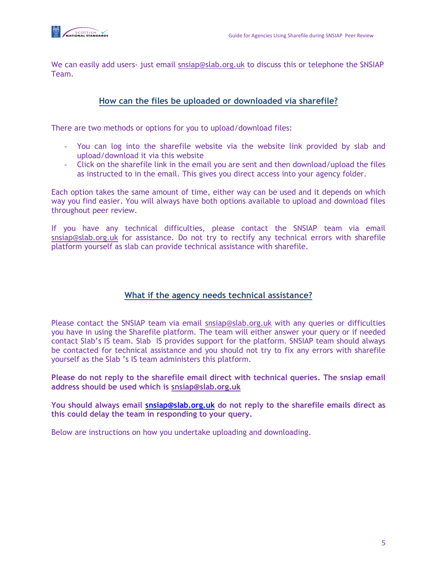

We can easily add users- just email [snsiap@slab.org.uk](mailto:snsiap@slab.org.uk) to discuss this or telephone the SNSIAP Team.

# **How can the files be uploaded or downloaded via sharefile?**

There are two methods or options for you to upload/download files:

- You can log into the sharefile website via the website link provided by slab and upload/download it via this website
- Click on the sharefile link in the email you are sent and then download/upload the files as instructed to in the email. This gives you direct access into your agency folder.

Each option takes the same amount of time, either way can be used and it depends on which way you find easier. You will always have both options available to upload and download files throughout peer review.

If you have any technical difficulties, please contact the SNSIAP team via email [snsiap@slab.org.uk](mailto:snsiap@slab.org.uk) for assistance. Do not try to rectify any technical errors with sharefile platform yourself as slab can provide technical assistance with sharefile.

## **What if the agency needs technical assistance?**

Please contact the SNSIAP team via email [snsiap@slab.org.uk](mailto:snsiap@slab.org.uk) with any queries or difficulties you have in using the Sharefile platform. The team will either answer your query or if needed contact Slab's IS team. Slab IS provides support for the platform. SNSIAP team should always be contacted for technical assistance and you should not try to fix any errors with sharefile yourself as the Slab 's IS team administers this platform.

**Please do not reply to the sharefile email direct with technical queries. The snsiap email address should be used which is [snsiap@slab.org.uk](mailto:snsiap@slab.org.uk)**

**You should always email [snsiap@slab.org.uk](mailto:snsiap@slab.org.uk) do not reply to the sharefile emails direct as this could delay the team in responding to your query.** 

Below are instructions on how you undertake uploading and downloading.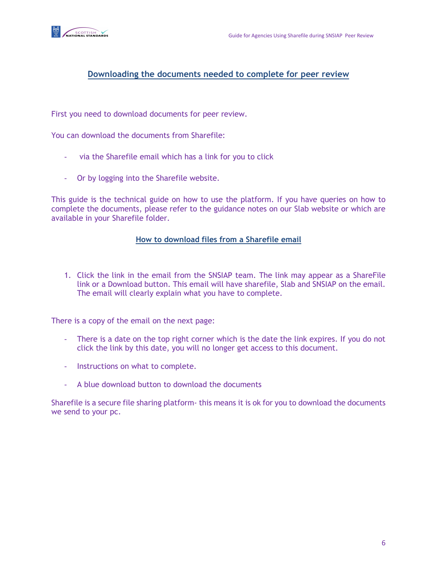

## **Downloading the documents needed to complete for peer review**

First you need to download documents for peer review.

You can download the documents from Sharefile:

- via the Sharefile email which has a link for you to click
- Or by logging into the Sharefile website.

This guide is the technical guide on how to use the platform. If you have queries on how to complete the documents, please refer to the guidance notes on our Slab website or which are available in your Sharefile folder.

#### <span id="page-5-0"></span>**How to download files from a Sharefile email**

1. Click the link in the email from the SNSIAP team. The link may appear as a ShareFile link or a Download button. This email will have sharefile, Slab and SNSIAP on the email. The email will clearly explain what you have to complete.

There is a copy of the email on the next page:

- There is a date on the top right corner which is the date the link expires. If you do not click the link by this date, you will no longer get access to this document.
- Instructions on what to complete.
- A blue download button to download the documents

Sharefile is a secure file sharing platform- this means it is ok for you to download the documents we send to your pc.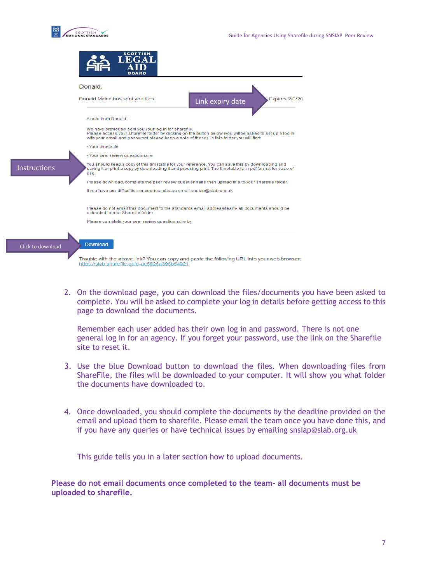



2. On the download page, you can download the files/documents you have been asked to complete. You will be asked to complete your log in details before getting access to this page to download the documents.

Remember each user added has their own log in and password. There is not one general log in for an agency. If you forget your password, use the link on the Sharefile site to reset it.

- 3. Use the blue Download button to download the files. When downloading files from ShareFile, the files will be downloaded to your computer. It will show you what folder the documents have downloaded to.
- 4. Once downloaded, you should complete the documents by the deadline provided on the email and upload them to sharefile. Please email the team once you have done this, and if you have any queries or have technical issues by emailing [snsiap@slab.org.uk](mailto:snsiap@slab.org.uk)

This guide tells you in a later section how to upload documents.

**Please do not email documents once completed to the team- all documents must be uploaded to sharefile.**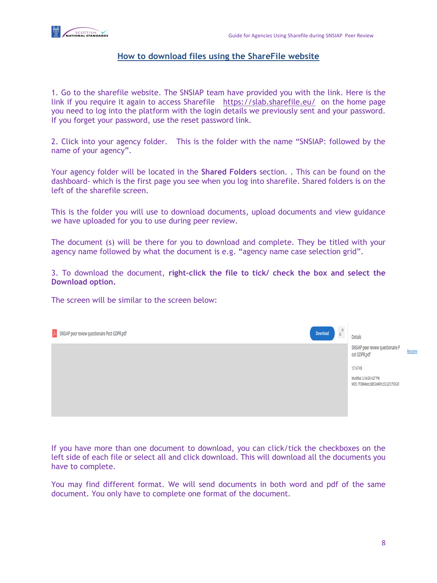

## <span id="page-7-0"></span>**How to download files using the ShareFile website**

1. Go to the sharefile website. The SNSIAP team have provided you with the link. Here is the link if you require it again to access Sharefile <https://slab.sharefile.eu/> on the home page you need to log into the platform with the login details we previously sent and your password. If you forget your password, use the reset password link.

2. Click into your agency folder. This is the folder with the name "SNSIAP: followed by the name of your agency".

Your agency folder will be located in the **Shared Folders** section. . This can be found on the dashboard- which is the first page you see when you log into sharefile. Shared folders is on the left of the sharefile screen.

This is the folder you will use to download documents, upload documents and view guidance we have uploaded for you to use during peer review.

The document (s) will be there for you to download and complete. They be titled with your agency name followed by what the document is e.g. "agency name case selection grid".

3. To download the document, **right-click the file to tick/ check the box and select the Download option.** 

The screen will be similar to the screen below:

| $\lambda$ SNSIAP peer review questionaire Post GDPR.pdf | $\mathbbmss{K}^{\mathbbmss{N}}$<br>Download | <b>Details</b>                                                     |        |
|---------------------------------------------------------|---------------------------------------------|--------------------------------------------------------------------|--------|
|                                                         |                                             | SNSIAP peer review questionaire P<br>ost GDPR.pdf                  | Rename |
|                                                         |                                             | 117.67 KB                                                          |        |
|                                                         |                                             | Modified: 1/14/20 4:27 PM<br>MD5: 793884bdc18853d409c151127c793630 |        |
|                                                         |                                             |                                                                    |        |
|                                                         |                                             |                                                                    |        |

If you have more than one document to download, you can click/tick the checkboxes on the left side of each file or select all and click download. This will download all the documents you have to complete.

You may find different format. We will send documents in both word and pdf of the same document. You only have to complete one format of the document.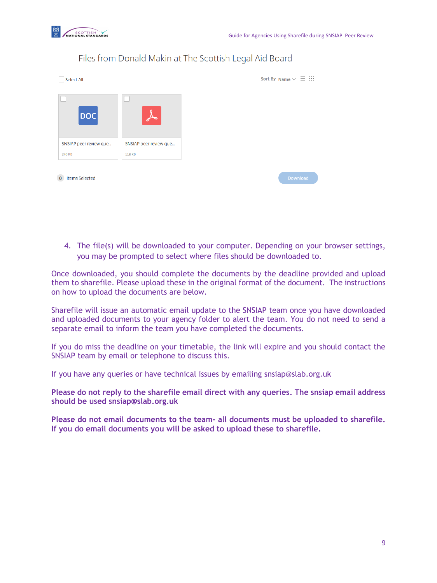

| <b>Select All</b>      |                        |
|------------------------|------------------------|
| <b>DOC</b>             | ∼                      |
| SNSIAP peer review que | SNSIAP peer review que |
| 270 KB                 |                        |

# Files from Donald Makin at The Scottish Legal Aid Board

4. The file(s) will be downloaded to your computer. Depending on your browser settings, you may be prompted to select where files should be downloaded to.

Once downloaded, you should complete the documents by the deadline provided and upload them to sharefile. Please upload these in the original format of the document. The instructions on how to upload the documents are below.

Sharefile will issue an automatic email update to the SNSIAP team once you have downloaded and uploaded documents to your agency folder to alert the team. You do not need to send a separate email to inform the team you have completed the documents.

If you do miss the deadline on your timetable, the link will expire and you should contact the SNSIAP team by email or telephone to discuss this.

If you have any queries or have technical issues by emailing [snsiap@slab.org.uk](mailto:snsiap@slab.org.uk)

**Please do not reply to the sharefile email direct with any queries. The snsiap email address should be used snsiap@slab.org.uk**

**Please do not email documents to the team- all documents must be uploaded to sharefile. If you do email documents you will be asked to upload these to sharefile.**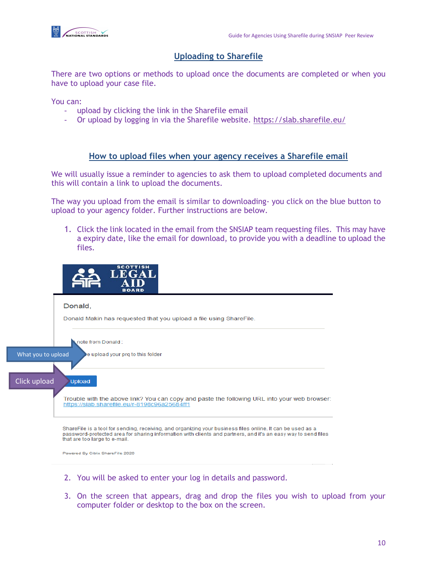

# <span id="page-9-0"></span>**Uploading to Sharefile**

There are two options or methods to upload once the documents are completed or when you have to upload your case file.

You can:

- upload by clicking the link in the Sharefile email
- Or upload by logging in via the Sharefile website.<https://slab.sharefile.eu/>

#### **How to upload files when your agency receives a Sharefile email**

We will usually issue a reminder to agencies to ask them to upload completed documents and this will contain a link to upload the documents.

The way you upload from the email is similar to downloading- you click on the blue button to upload to your agency folder. Further instructions are below.

1. Click the link located in the email from the SNSIAP team requesting files. This may have a expiry date, like the email for download, to provide you with a deadline to upload the files.



Powered By Citrix ShareFile 2020

- 2. You will be asked to enter your log in details and password.
- 3. On the screen that appears, drag and drop the files you wish to upload from your computer folder or desktop to the box on the screen.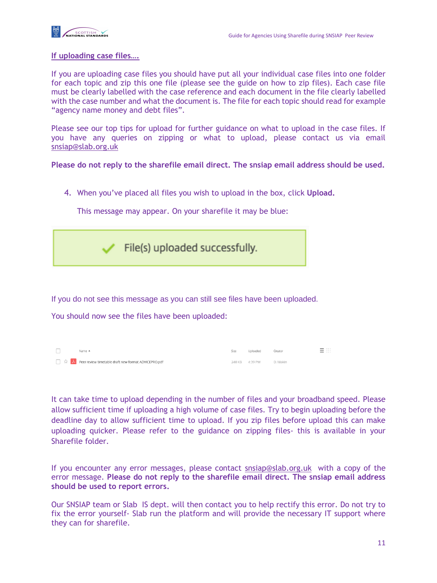

#### **If uploading case files….**

If you are uploading case files you should have put all your individual case files into one folder for each topic and zip this one file (please see the guide on how to zip files). Each case file must be clearly labelled with the case reference and each document in the file clearly labelled with the case number and what the document is. The file for each topic should read for example "agency name money and debt files".

Please see our top tips for upload for further guidance on what to upload in the case files. If you have any queries on zipping or what to upload, please contact us via email [snsiap@slab.org.uk](mailto:snsiap@slab.org.uk)

**Please do not reply to the sharefile email direct. The snsiap email address should be used.**

4. When you've placed all files you wish to upload in the box, click **Upload.** 

This message may appear. On your sharefile it may be blue:



If you do not see this message as you can still see files have been uploaded.

You should now see the files have been uploaded:

| $Name$ $A$                                           | Size | Uploaded                | Creator | $ -$<br>$-$<br>$ -$ |
|------------------------------------------------------|------|-------------------------|---------|---------------------|
| Peer review timetable draft new format ADVICEPRO.pdf |      | 240 KB 4:39 PM D. Makin |         |                     |

It can take time to upload depending in the number of files and your broadband speed. Please allow sufficient time if uploading a high volume of case files. Try to begin uploading before the deadline day to allow sufficient time to upload. If you zip files before upload this can make uploading quicker. Please refer to the guidance on zipping files- this is available in your Sharefile folder.

If you encounter any error messages, please contact [snsiap@slab.org.uk](mailto:snsiap@slab.org.uk) with a copy of the error message. **Please do not reply to the sharefile email direct. The snsiap email address should be used to report errors.** 

Our SNSIAP team or Slab IS dept. will then contact you to help rectify this error. Do not try to fix the error yourself- Slab run the platform and will provide the necessary IT support where they can for sharefile.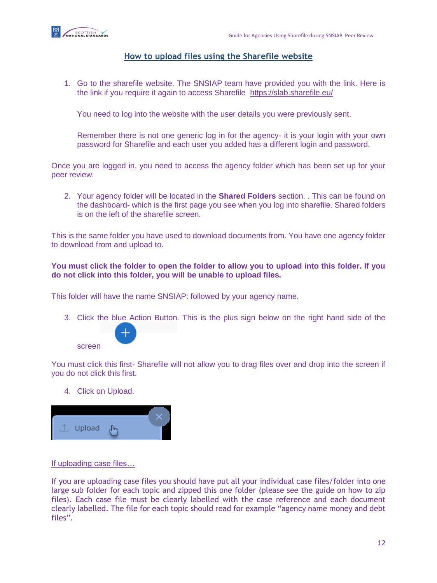

## <span id="page-11-0"></span>**How to upload files using the Sharefile website**

1. Go to the sharefile website. The SNSIAP team have provided you with the link. Here is the link if you require it again to access Sharefile <https://slab.sharefile.eu/>

You need to log into the website with the user details you were previously sent.

Remember there is not one generic log in for the agency- it is your login with your own password for Sharefile and each user you added has a different login and password.

Once you are logged in, you need to access the agency folder which has been set up for your peer review.

2. Your agency folder will be located in the **Shared Folders** section. . This can be found on the dashboard- which is the first page you see when you log into sharefile. Shared folders is on the left of the sharefile screen.

This is the same folder you have used to download documents from. You have one agency folder to download from and upload to.

#### **You must click the folder to open the folder to allow you to upload into this folder. If you do not click into this folder, you will be unable to upload files.**

This folder will have the name SNSIAP: followed by your agency name.

3. Click the blue Action Button. This is the plus sign below on the right hand side of the



You must click this first- Sharefile will not allow you to drag files over and drop into the screen if you do not click this first.

4. Click on Upload.



#### If uploading case files…

If you are uploading case files you should have put all your individual case files/folder into one large sub folder for each topic and zipped this one folder (please see the guide on how to zip files). Each case file must be clearly labelled with the case reference and each document clearly labelled. The file for each topic should read for example "agency name money and debt files".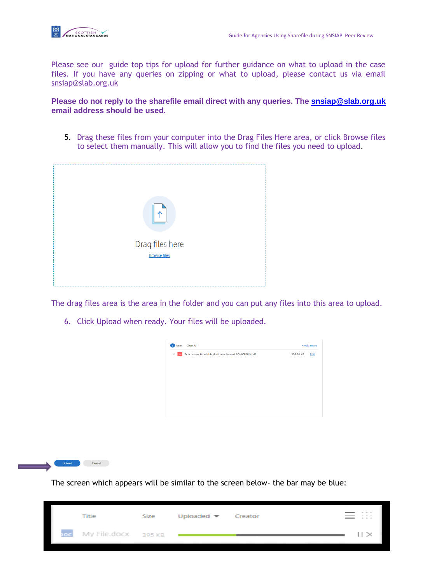

Please see our guide top tips for upload for further guidance on what to upload in the case files. If you have any queries on zipping or what to upload, please contact us via email [snsiap@slab.org.uk](mailto:snsiap@slab.org.uk)

**Please do not reply to the sharefile email direct with any queries. The [snsiap@slab.org.uk](mailto:snsiap@slab.org.uk) email address should be used.**

5. Drag these files from your computer into the Drag Files Here area, or click Browse files to select them manually. This will allow you to find the files you need to upload.



The drag files area is the area in the folder and you can put any files into this area to upload.

6. Click Upload when ready. Your files will be uploaded.





The screen which appears will be similar to the screen below- the bar may be blue: